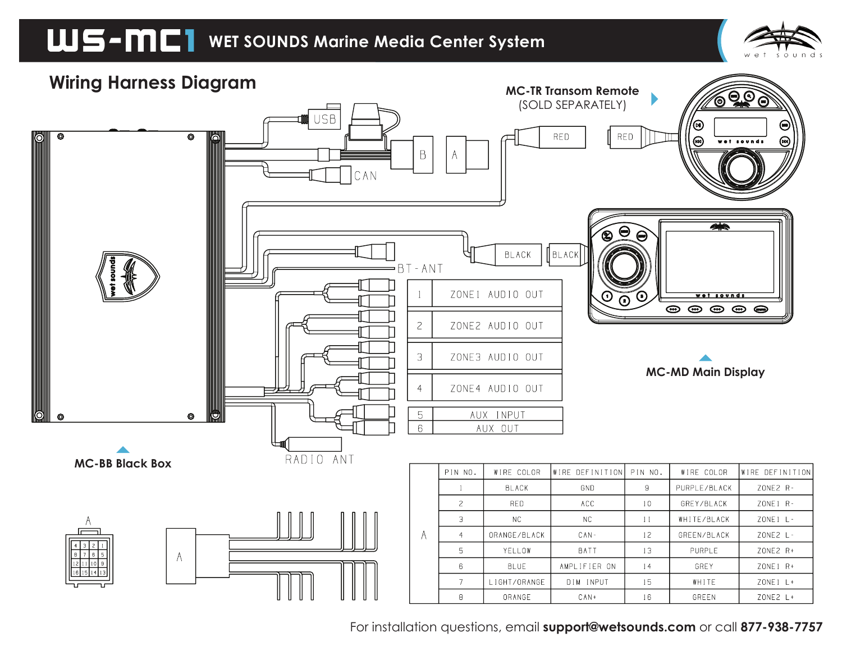



For installation questions, email **support@wetsounds.com** or call **877-938-7757**